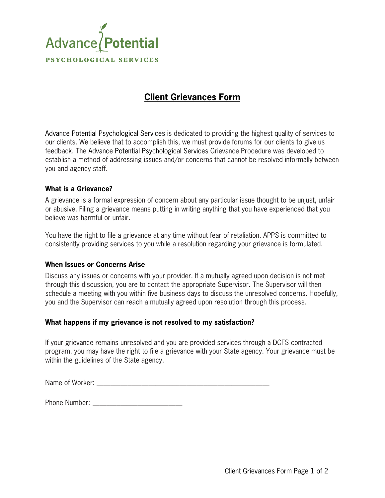

## **Client Grievances Form**

Advance Potential Psychological Services is dedicated to providing the highest quality of services to our clients. We believe that to accomplish this, we must provide forums for our clients to give us feedback. The Advance Potential Psychological Services Grievance Procedure was developed to establish a method of addressing issues and/or concerns that cannot be resolved informally between you and agency staff.

## **What is a Grievance?**

A grievance is a formal expression of concern about any particular issue thought to be unjust, unfair or abusive. Filing a grievance means putting in writing anything that you have experienced that you believe was harmful or unfair.

You have the right to file a grievance at any time without fear of retaliation. APPS is committed to consistently providing services to you while a resolution regarding your grievance is formulated.

## **When Issues or Concerns Arise**

Discuss any issues or concerns with your provider. If a mutually agreed upon decision is not met through this discussion, you are to contact the appropriate Supervisor. The Supervisor will then schedule a meeting with you within five business days to discuss the unresolved concerns. Hopefully, you and the Supervisor can reach a mutually agreed upon resolution through this process.

## **What happens if my grievance is not resolved to my satisfaction?**

If your grievance remains unresolved and you are provided services through a DCFS contracted program, you may have the right to file a grievance with your State agency. Your grievance must be within the guidelines of the State agency.

Name of Worker:

Phone Number: \_\_\_\_\_\_\_\_\_\_\_\_\_\_\_\_\_\_\_\_\_\_\_\_\_\_